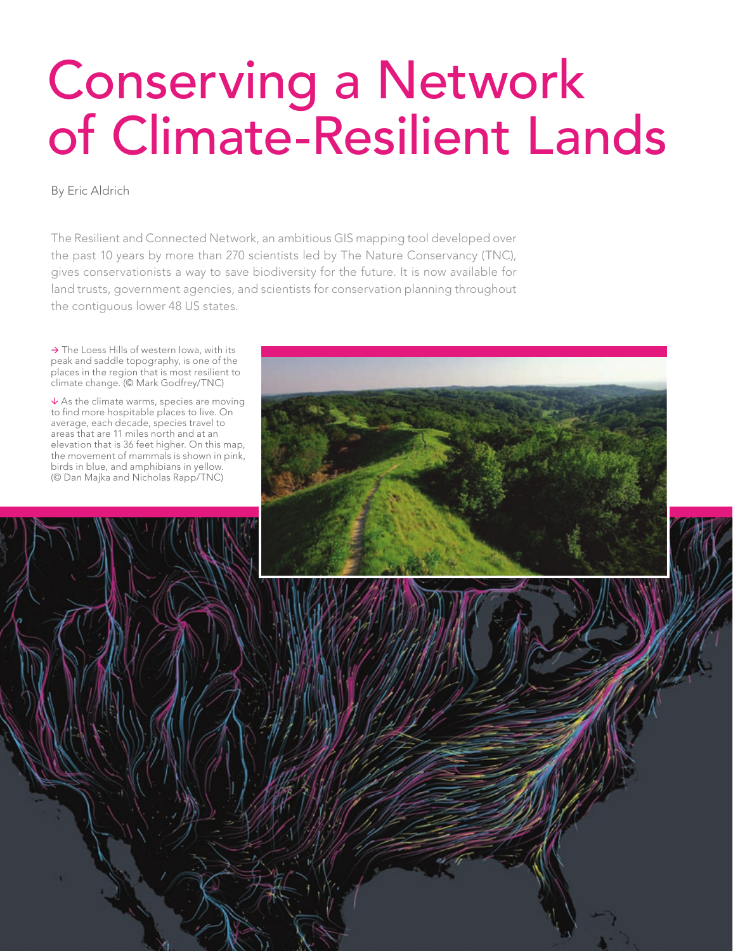# Conserving a Network of Climate-Resilient Lands

By Eric Aldrich

The Resilient and Connected Network, an ambitious GIS mapping tool developed over the past 10 years by more than 270 scientists led by The Nature Conservancy (TNC), gives conservationists a way to save biodiversity for the future. It is now available for land trusts, government agencies, and scientists for conservation planning throughout the contiguous lower 48 US states.

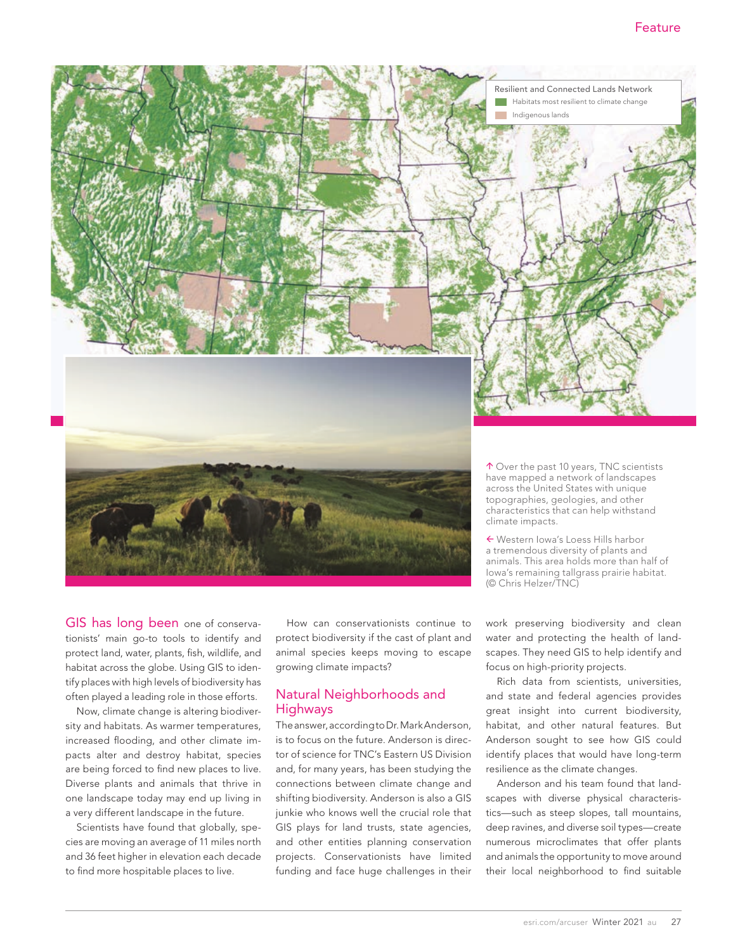

GIS has long been one of conservationists' main go-to tools to identify and protect land, water, plants, fish, wildlife, and habitat across the globe. Using GIS to identify places with high levels of biodiversity has often played a leading role in those efforts.

Now, climate change is altering biodiversity and habitats. As warmer temperatures, increased flooding, and other climate impacts alter and destroy habitat, species are being forced to find new places to live. Diverse plants and animals that thrive in one landscape today may end up living in a very different landscape in the future.

Scientists have found that globally, species are moving an average of 11 miles north and 36 feet higher in elevation each decade to find more hospitable places to live.

How can conservationists continue to protect biodiversity if the cast of plant and animal species keeps moving to escape growing climate impacts?

# Natural Neighborhoods and Highways

The answer, according to Dr. Mark Anderson, is to focus on the future. Anderson is director of science for TNC's Eastern US Division and, for many years, has been studying the connections between climate change and shifting biodiversity. Anderson is also a GIS junkie who knows well the crucial role that GIS plays for land trusts, state agencies, and other entities planning conservation projects. Conservationists have limited funding and face huge challenges in their

work preserving biodiversity and clean water and protecting the health of land-(© Chris Helzer/TNC)

scapes. They need GIS to help identify and focus on high-priority projects. Rich data from scientists, universities,

and state and federal agencies provides great insight into current biodiversity, habitat, and other natural features. But Anderson sought to see how GIS could identify places that would have long-term resilience as the climate changes.

Anderson and his team found that landscapes with diverse physical characteristics—such as steep slopes, tall mountains, deep ravines, and diverse soil types—create numerous microclimates that offer plants and animals the opportunity to move around their local neighborhood to find suitable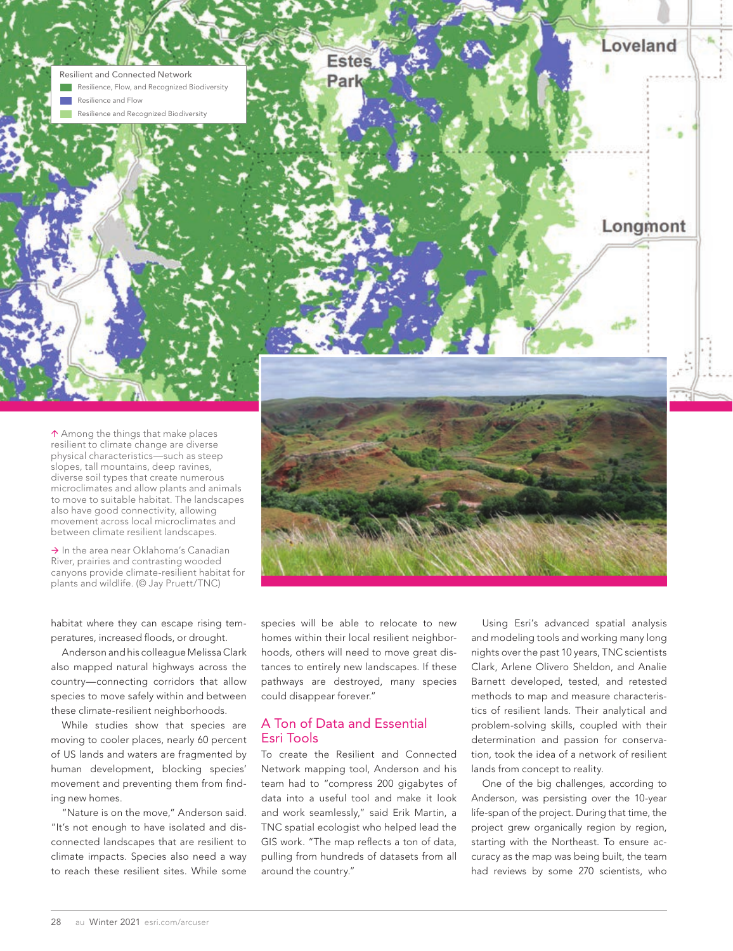

 $\uparrow$  Among the things that make places resilient to climate change are diverse physical characteristics—such as steep slopes, tall mountains, deep ravines, diverse soil types that create numerous microclimates and allow plants and animals to move to suitable habitat. The landscapes also have good connectivity, allowing movement across local microclimates and between climate resilient landscapes.

 $\rightarrow$  In the area near Oklahoma's Canadian River, prairies and contrasting wooded canyons provide climate-resilient habitat for plants and wildlife. (© Jay Pruett/TNC)

habitat where they can escape rising temperatures, increased floods, or drought.

Anderson and his colleague Melissa Clark also mapped natural highways across the country—connecting corridors that allow species to move safely within and between these climate-resilient neighborhoods.

While studies show that species are moving to cooler places, nearly 60 percent of US lands and waters are fragmented by human development, blocking species' movement and preventing them from finding new homes.

"Nature is on the move," Anderson said. "It's not enough to have isolated and disconnected landscapes that are resilient to climate impacts. Species also need a way to reach these resilient sites. While some species will be able to relocate to new homes within their local resilient neighborhoods, others will need to move great distances to entirely new landscapes. If these pathways are destroyed, many species could disappear forever."

# A Ton of Data and Essential Esri Tools

To create the Resilient and Connected Network mapping tool, Anderson and his team had to "compress 200 gigabytes of data into a useful tool and make it look and work seamlessly," said Erik Martin, a TNC spatial ecologist who helped lead the GIS work. "The map reflects a ton of data, pulling from hundreds of datasets from all around the country."

Using Esri's advanced spatial analysis and modeling tools and working many long nights over the past 10 years, TNC scientists Clark, Arlene Olivero Sheldon, and Analie Barnett developed, tested, and retested methods to map and measure characteristics of resilient lands. Their analytical and problem-solving skills, coupled with their determination and passion for conservation, took the idea of a network of resilient lands from concept to reality.

One of the big challenges, according to Anderson, was persisting over the 10-year life-span of the project. During that time, the project grew organically region by region, starting with the Northeast. To ensure accuracy as the map was being built, the team had reviews by some 270 scientists, who